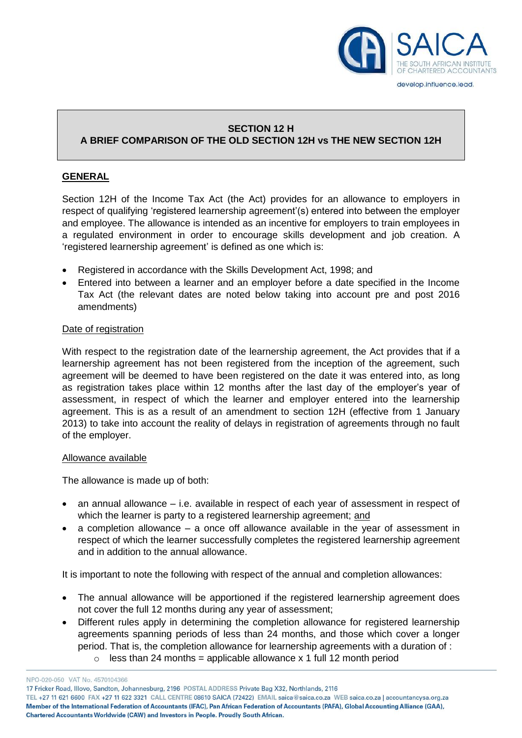

# **SECTION 12 H**

# **A BRIEF COMPARISON OF THE OLD SECTION 12H vs THE NEW SECTION 12H**

## **GENERAL**

Section 12H of the Income Tax Act (the Act) provides for an allowance to employers in respect of qualifying 'registered learnership agreement'(s) entered into between the employer and employee. The allowance is intended as an incentive for employers to train employees in a regulated environment in order to encourage skills development and job creation. A 'registered learnership agreement' is defined as one which is:

- Registered in accordance with the Skills Development Act, 1998; and
- Entered into between a learner and an employer before a date specified in the Income Tax Act (the relevant dates are noted below taking into account pre and post 2016 amendments)

## Date of registration

With respect to the registration date of the learnership agreement, the Act provides that if a learnership agreement has not been registered from the inception of the agreement, such agreement will be deemed to have been registered on the date it was entered into, as long as registration takes place within 12 months after the last day of the employer's year of assessment, in respect of which the learner and employer entered into the learnership agreement. This is as a result of an amendment to section 12H (effective from 1 January 2013) to take into account the reality of delays in registration of agreements through no fault of the employer.

#### Allowance available

The allowance is made up of both:

- an annual allowance i.e. available in respect of each year of assessment in respect of which the learner is party to a registered learnership agreement; and
- a completion allowance a once off allowance available in the year of assessment in respect of which the learner successfully completes the registered learnership agreement and in addition to the annual allowance.

It is important to note the following with respect of the annual and completion allowances:

- The annual allowance will be apportioned if the registered learnership agreement does not cover the full 12 months during any year of assessment;
- Different rules apply in determining the completion allowance for registered learnership agreements spanning periods of less than 24 months, and those which cover a longer period. That is, the completion allowance for learnership agreements with a duration of :  $\circ$  less than 24 months = applicable allowance x 1 full 12 month period

NPO-020-050 VAT No. 4570104366

17 Fricker Road, Illovo, Sandton, Johannesburg, 2196 POSTAL ADDRESS Private Bag X32, Northlands, 2116

TEL +27 11 621 6600 FAX +27 11 622 3321 CALL CENTRE 08610 SAICA (72422) EMAIL saica@saica.co.za WEB saica.co.za | accountancysa.org.za Member of the International Federation of Accountants (IFAC), Pan African Federation of Accountants (PAFA), Global Accounting Alliance (GAA), Chartered Accountants Worldwide (CAW) and Investors in People. Proudly South African.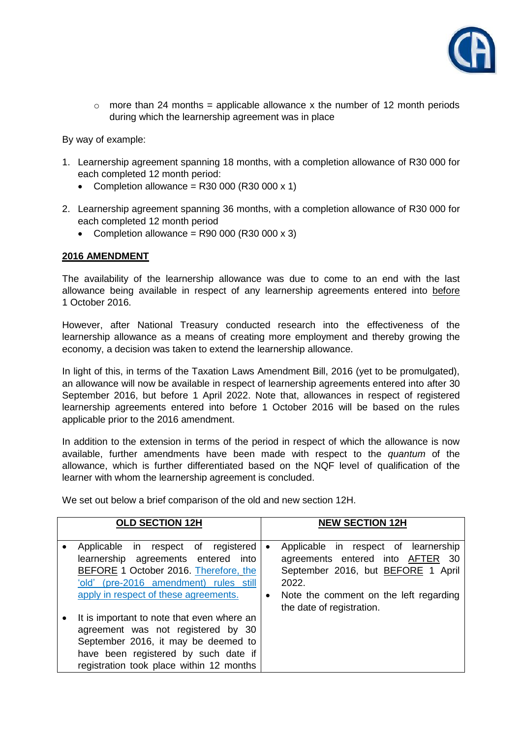

 $\circ$  more than 24 months = applicable allowance x the number of 12 month periods during which the learnership agreement was in place

By way of example:

- 1. Learnership agreement spanning 18 months, with a completion allowance of R30 000 for each completed 12 month period:
	- Completion allowance = R30 000 (R30 000  $\times$  1)
- 2. Learnership agreement spanning 36 months, with a completion allowance of R30 000 for each completed 12 month period
	- Completion allowance = R90 000 (R30 000  $\times$  3)

#### **2016 AMENDMENT**

The availability of the learnership allowance was due to come to an end with the last allowance being available in respect of any learnership agreements entered into before 1 October 2016.

However, after National Treasury conducted research into the effectiveness of the learnership allowance as a means of creating more employment and thereby growing the economy, a decision was taken to extend the learnership allowance.

In light of this, in terms of the Taxation Laws Amendment Bill, 2016 (yet to be promulgated), an allowance will now be available in respect of learnership agreements entered into after 30 September 2016, but before 1 April 2022. Note that, allowances in respect of registered learnership agreements entered into before 1 October 2016 will be based on the rules applicable prior to the 2016 amendment.

In addition to the extension in terms of the period in respect of which the allowance is now available, further amendments have been made with respect to the *quantum* of the allowance, which is further differentiated based on the NQF level of qualification of the learner with whom the learnership agreement is concluded.

**OLD SECTION 12H NEW SECTION 12H**  Applicable in respect of registered learnership agreements entered into

We set out below a brief comparison of the old and new section 12H.

| Applicable in respect of registered   •<br>learnership agreements entered into |           | Applicable in respect of learnership<br>agreements entered into AFTER 30 |
|--------------------------------------------------------------------------------|-----------|--------------------------------------------------------------------------|
| BEFORE 1 October 2016. Therefore, the                                          |           | September 2016, but BEFORE 1 April                                       |
| 'old' (pre-2016 amendment) rules still                                         |           | 2022.                                                                    |
| apply in respect of these agreements.                                          | $\bullet$ | Note the comment on the left regarding                                   |
|                                                                                |           | the date of registration.                                                |
| It is important to note that even where an                                     |           |                                                                          |
| agreement was not registered by 30                                             |           |                                                                          |
| September 2016, it may be deemed to                                            |           |                                                                          |
| have been registered by such date if                                           |           |                                                                          |
| registration took place within 12 months                                       |           |                                                                          |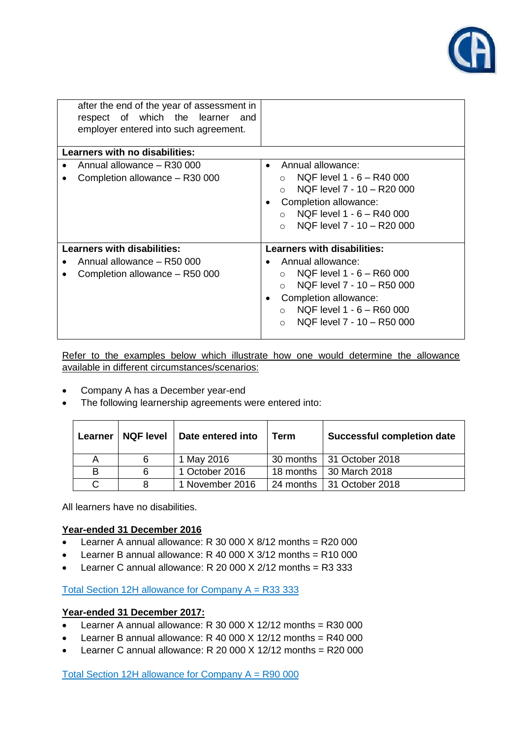

| after the end of the year of assessment in<br>respect of which the learner<br>and<br>employer entered into such agreement. |                                                                                                                                                                                                                |  |  |
|----------------------------------------------------------------------------------------------------------------------------|----------------------------------------------------------------------------------------------------------------------------------------------------------------------------------------------------------------|--|--|
| Learners with no disabilities:                                                                                             |                                                                                                                                                                                                                |  |  |
| Annual allowance - R30 000<br>Completion allowance - R30 000                                                               | Annual allowance:<br>$\bullet$<br>NQF level 1 - 6 - R40 000<br>$\bigcap$<br>NQF level 7 - 10 - R20 000<br>Completion allowance:<br>NQF level 1 - 6 - R40 000<br>$\cap$<br>NOF level 7 - 10 - R20 000<br>$\cap$ |  |  |
| <b>Learners with disabilities:</b>                                                                                         | <b>Learners with disabilities:</b>                                                                                                                                                                             |  |  |
| Annual allowance - R50 000                                                                                                 | Annual allowance:                                                                                                                                                                                              |  |  |
| Completion allowance - R50 000                                                                                             | NQF level 1 - 6 - R60 000<br>$\cap$<br>NQF level 7 - 10 - R50 000<br>$\cap$<br>Completion allowance:<br>NQF level 1 - 6 - R60 000<br>$\cap$<br>NQF level 7 - 10 - R50 000<br>$\Omega$                          |  |  |

Refer to the examples below which illustrate how one would determine the allowance available in different circumstances/scenarios:

- Company A has a December year-end
- The following learnership agreements were entered into:

|   |                     | Learner   NQF level   Date entered into | Term      | <b>Successful completion date</b> |
|---|---------------------|-----------------------------------------|-----------|-----------------------------------|
| Α | 6                   | 1 May 2016                              |           | 30 months 131 October 2018        |
| в | 1 October 2016<br>6 |                                         | 18 months | 30 March 2018                     |
| C | 8                   | 1 November 2016                         |           | 24 months 131 October 2018        |

All learners have no disabilities.

## **Year-ended 31 December 2016**

- E Learner A annual allowance: R 30 000  $\times$  8/12 months = R20 000
- E Learner B annual allowance: R 40 000 X  $3/12$  months = R10 000
- Learner C annual allowance: R 20 000  $X$  2/12 months = R3 333

Total Section 12H allowance for Company  $A = R333333$ 

## **Year-ended 31 December 2017:**

- Elearner A annual allowance: R 30 000 X 12/12 months = R30 000
- E Learner B annual allowance: R 40 000 X 12/12 months = R40 000
- E Learner C annual allowance: R 20 000 X 12/12 months = R20 000

Total Section 12H allowance for Company A = R90 000